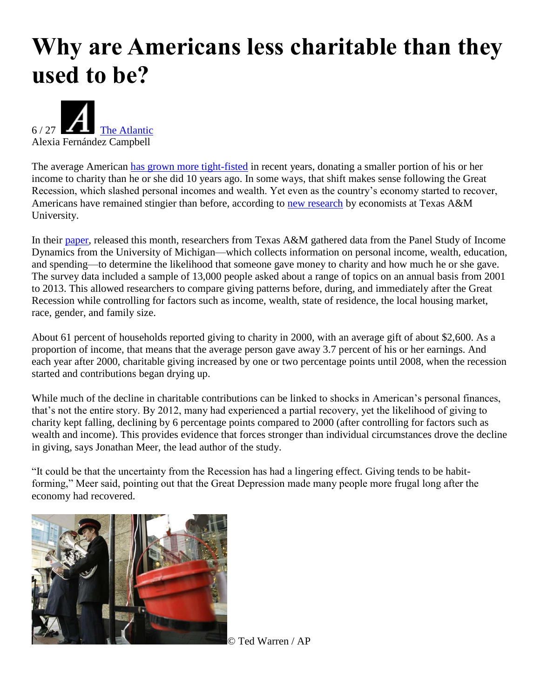## **Why are Americans less charitable than they used to be?**



The average American [has grown more tight-fisted](http://www.marketwatch.com/story/struggling-middle-class-americans-are-giving-less-to-charity-2016-11-17) in recent years, donating a smaller portion of his or her income to charity than he or she did 10 years ago. In some ways, that shift makes sense following the Great Recession, which slashed personal incomes and wealth. Yet even as the country's economy started to recover, Americans have remained stingier than before, according to [new research](http://www.nber.org/papers/w22902) by economists at Texas A&M University.

In their [paper,](http://www.nber.org/papers/w22902) released this month, researchers from Texas A&M gathered data from the Panel Study of Income Dynamics from the University of Michigan—which collects information on personal income, wealth, education, and spending—to determine the likelihood that someone gave money to charity and how much he or she gave. The survey data included a sample of 13,000 people asked about a range of topics on an annual basis from 2001 to 2013. This allowed researchers to compare giving patterns before, during, and immediately after the Great Recession while controlling for factors such as income, wealth, state of residence, the local housing market, race, gender, and family size.

About 61 percent of households reported giving to charity in 2000, with an average gift of about \$2,600. As a proportion of income, that means that the average person gave away 3.7 percent of his or her earnings. And each year after 2000, charitable giving increased by one or two percentage points until 2008, when the recession started and contributions began drying up.

While much of the decline in charitable contributions can be linked to shocks in American's personal finances, that's not the entire story. By 2012, many had experienced a partial recovery, yet the likelihood of giving to charity kept falling, declining by 6 percentage points compared to 2000 (after controlling for factors such as wealth and income). This provides evidence that forces stronger than individual circumstances drove the decline in giving, says Jonathan Meer, the lead author of the study.

"It could be that the uncertainty from the Recession has had a lingering effect. Giving tends to be habitforming," Meer said, pointing out that the Great Depression made many people more frugal long after the economy had recovered.



© Ted Warren / AP